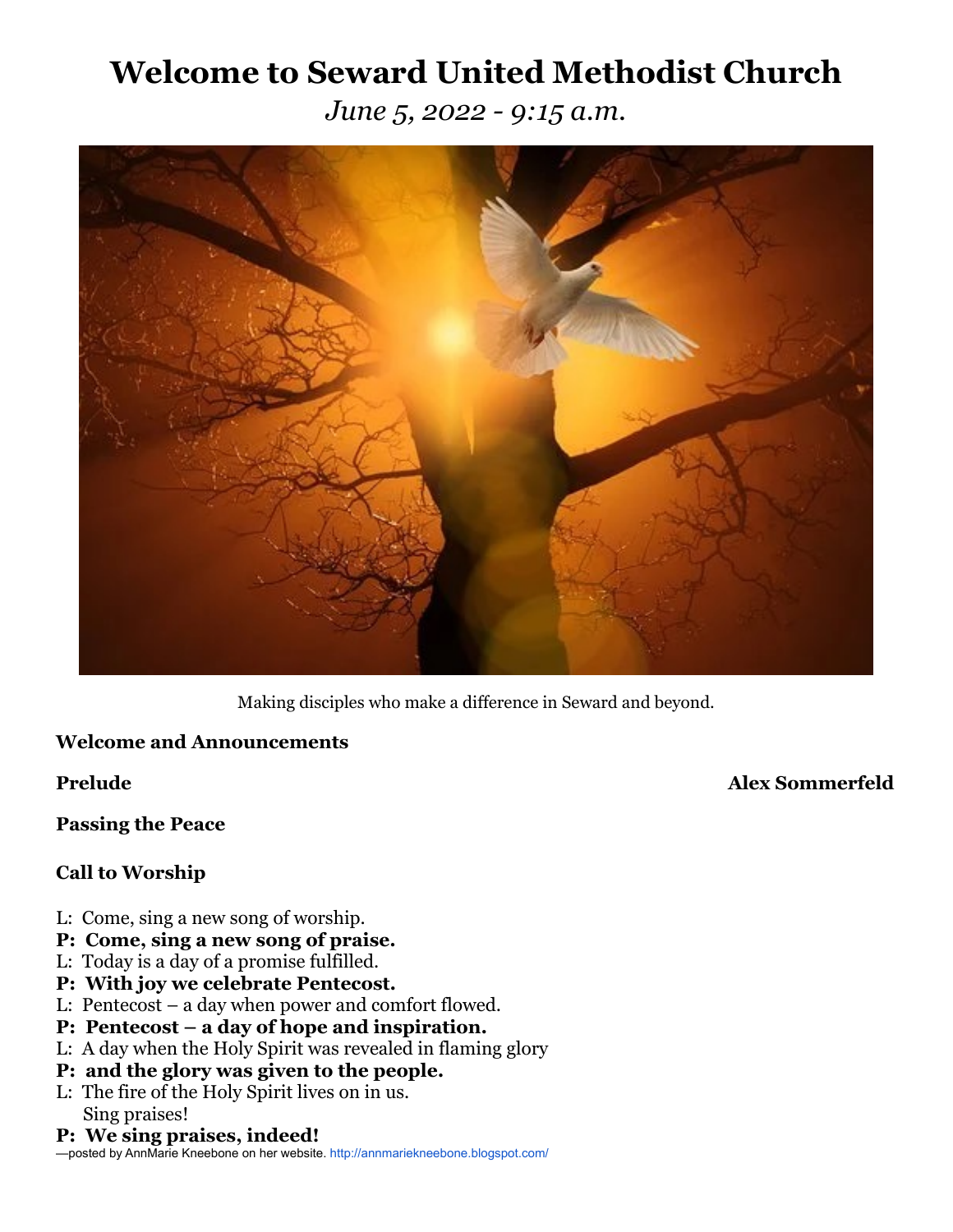# **Welcome to Seward United Methodist Church**

*June 5, 2022 - 9:15 a.m.*



Making disciples who make a difference in Seward and beyond.

# **Welcome and Announcements**

**Prelude Alex Sommerfeld**

**Passing the Peace**

# **Call to Worship**

- L: Come, sing a new song of worship.
- **P: Come, sing a new song of praise.**
- L: Today is a day of a promise fulfilled.
- **P: With joy we celebrate Pentecost.**
- L: Pentecost a day when power and comfort flowed.
- **P: Pentecost a day of hope and inspiration.**
- L: A day when the Holy Spirit was revealed in flaming glory
- **P: and the glory was given to the people.**
- L: The fire of the Holy Spirit lives on in us. Sing praises!
- **P: We sing praises, indeed!**

—posted by AnnMarie Kneebone on her website.<http://annmariekneebone.blogspot.com/>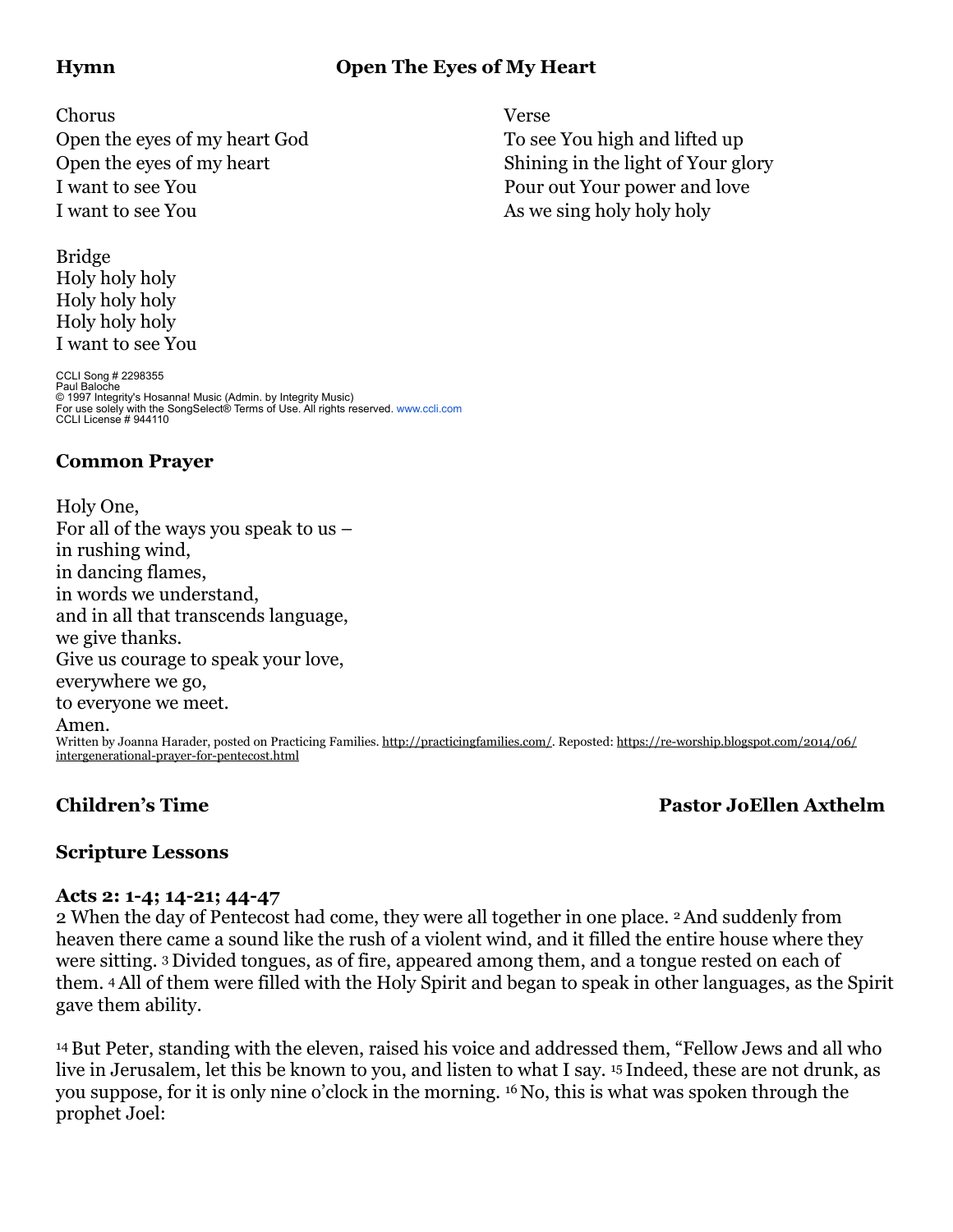# **Hymn Open The Eyes of My Heart**

Chorus Verse

Open the eyes of my heart God To see You high and lifted up I want to see You **Pour out Your power and love** I want to see You as we sing holy holy holy holy

Bridge Holy holy holy Holy holy holy Holy holy holy I want to see You

CCLI Song # 2298355 Paul Baloche © 1997 Integrity's Hosanna! Music (Admin. by Integrity Music)<br>For use solely with the SongSelect® Terms of Use. All rights reserved. [www.ccli.com](http://www.ccli.com/)<br>CCLI License # 944110

### **Common Prayer**

Holy One, For all of the ways you speak to us – in rushing wind, in dancing flames, in words we understand, and in all that transcends language, we give thanks. Give us courage to speak your love, everywhere we go, to everyone we meet. Amen. Written by Joanna Harader, posted on Practicing Families. [http://practicingfamilies.com/.](http://practicingfamilies.com/) Reposted: [https://re-worship.blogspot.com/2014/06/](https://re-worship.blogspot.com/2014/06/intergenerational-prayer-for-pentecost.html) [intergenerational-prayer-for-pentecost.html](https://re-worship.blogspot.com/2014/06/intergenerational-prayer-for-pentecost.html)

# **Children's Time Pastor JoEllen Axthelm**

# **Scripture Lessons**

#### **Acts 2: 1-4; 14-21; 44-47**

2 When the day of Pentecost had come, they were all together in one place. 2And suddenly from heaven there came a sound like the rush of a violent wind, and it filled the entire house where they were sitting. <sup>3</sup> Divided tongues, as of fire, appeared among them, and a tongue rested on each of them. 4All of them were filled with the Holy Spirit and began to speak in other languages, as the Spirit gave them ability.

14But Peter, standing with the eleven, raised his voice and addressed them, "Fellow Jews and all who live in Jerusalem, let this be known to you, and listen to what I say. <sup>15</sup> Indeed, these are not drunk, as you suppose, for it is only nine o'clock in the morning. <sup>16</sup> No, this is what was spoken through the prophet Joel:

Open the eyes of my heart Shining in the light of Your glory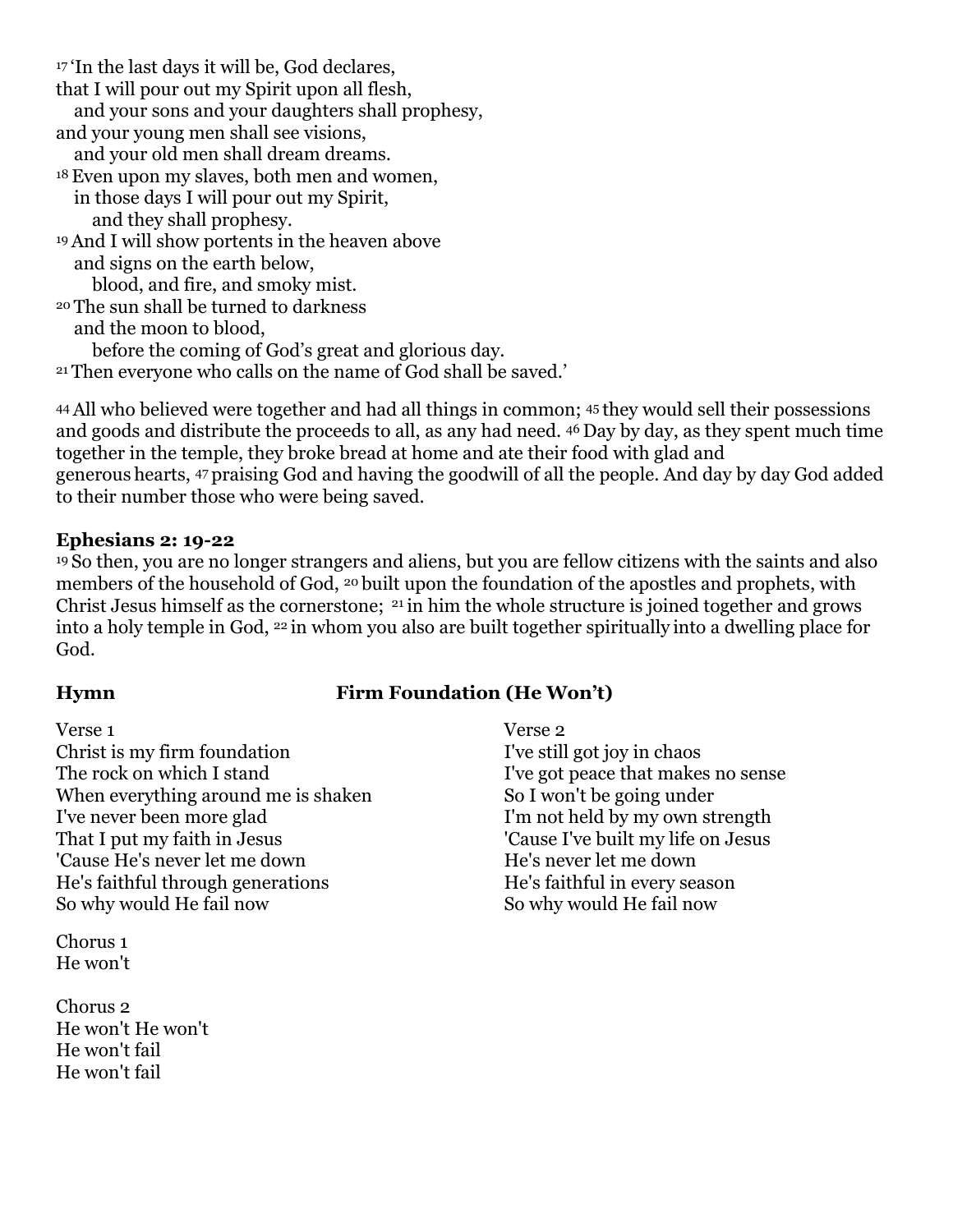<sup>17</sup> 'In the last days it will be, God declares, that I will pour out my Spirit upon all flesh, and your sons and your daughters shall prophesy, and your young men shall see visions, and your old men shall dream dreams. 18Even upon my slaves, both men and women, in those days I will pour out my Spirit, and they shall prophesy. 19And I will show portents in the heaven above and signs on the earth below, blood, and fire, and smoky mist. <sup>20</sup> The sun shall be turned to darkness and the moon to blood, before the coming of God's great and glorious day. <sup>21</sup> Then everyone who calls on the name of God shall be saved.'

44All who believed were together and had all things in common; <sup>45</sup> they would sell their possessions and goods and distribute the proceeds to all, as any had need. <sup>46</sup> Day by day, as they spent much time together in the temple, they broke bread at home and ate their food with glad and generous hearts, <sup>47</sup> praising God and having the goodwill of all the people. And day by day God added to their number those who were being saved.

#### **Ephesians 2: 19-22**

<sup>19</sup> So then, you are no longer strangers and aliens, but you are fellow citizens with the saints and also members of the household of God, <sup>20</sup> built upon the foundation of the apostles and prophets, with Christ Jesus himself as the cornerstone; <sup>21</sup> in him the whole structure is joined together and grows into a holy temple in God, <sup>22</sup> in whom you also are built together spiritually into a dwelling place for God.

# **Hymn Firm Foundation (He Won't)**

Verse 1 Verse 2 Christ is my firm foundation I've still got joy in chaos The rock on which I stand I ve got peace that makes no sense When everything around me is shaken So I won't be going under<br>I've never been more glad I'm not held by my own st That I put my faith in Jesus 'Cause I've built my life on Jesus 'Cause He's never let me down he's never let me down He's faithful through generations He's faithful in every season So why would He fail now So why would He fail now

Chorus 1 He won't

Chorus 2 He won't He won't He won't fail He won't fail

I'm not held by my own strength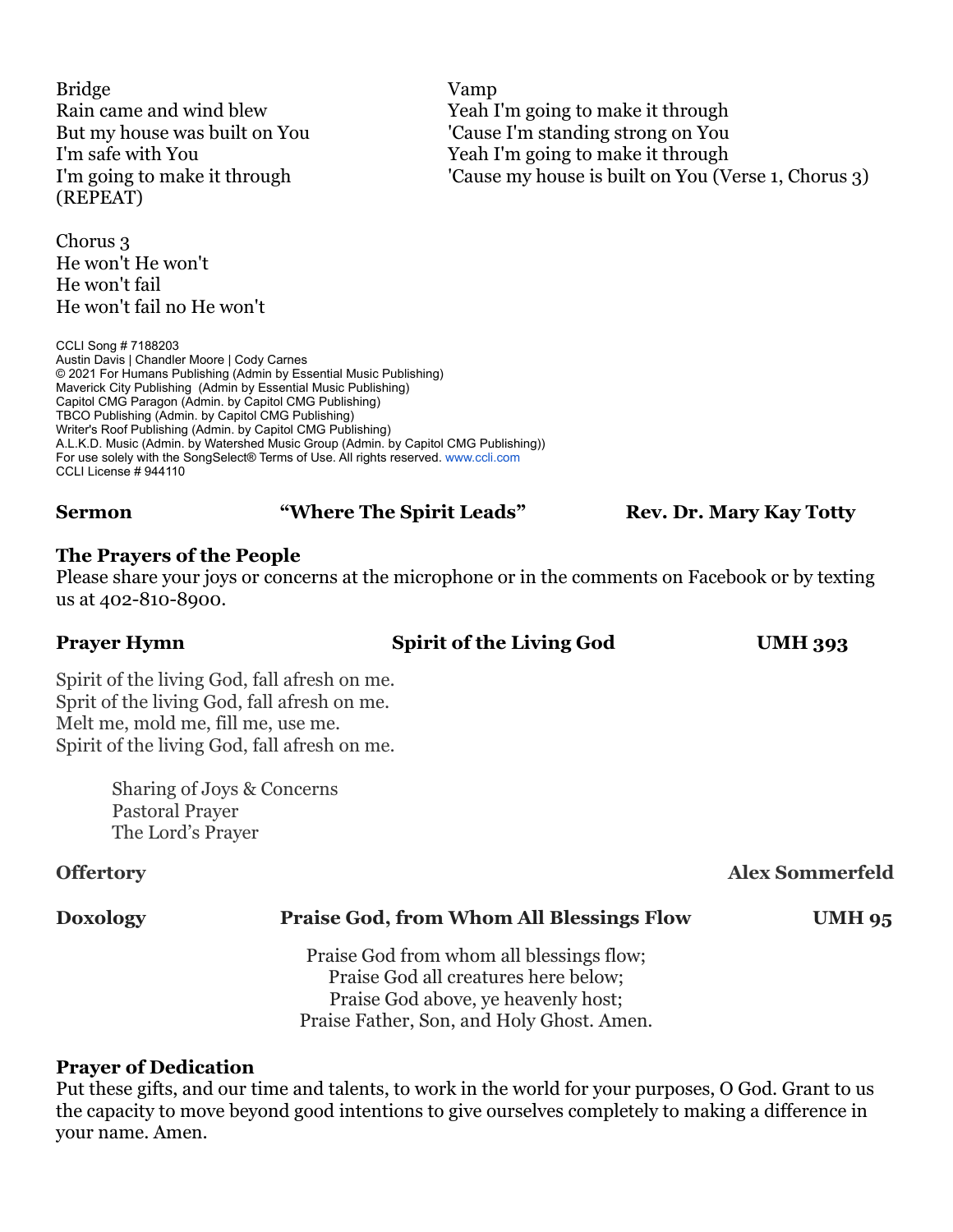Bridge Vamp Rain came and wind blew Yeah I'm going to make it through But my house was built on You 'Cause I'm standing strong on You I'm safe with You Yeah I'm going to make it through I'm going to make it through 'Cause my house is built on You (Verse 1, Chorus 3) (REPEAT)

Chorus 3 He won't He won't He won't fail He won't fail no He won't

CCLI Song # 7188203 Austin Davis | Chandler Moore | Cody Carnes © 2021 For Humans Publishing (Admin by Essential Music Publishing) Maverick City Publishing (Admin by Essential Music Publishing) Capitol CMG Paragon (Admin. by Capitol CMG Publishing) TBCO Publishing (Admin. by Capitol CMG Publishing) Writer's Roof Publishing (Admin. by Capitol CMG Publishing) A.L.K.D. Music (Admin. by Watershed Music Group (Admin. by Capitol CMG Publishing)) For use solely with the SongSelect® Terms of Use. All rights reserved. [www.ccli.com](http://www.ccli.com/) CCLI License # 944110

#### **Sermon "Where The Spirit Leads"** Rev. Dr. Mary Kay Totty

#### **The Prayers of the People**

Please share your joys or concerns at the microphone or in the comments on Facebook or by texting us at 402-810-8900.

#### **Prayer Hymn Spirit of the Living God UMH 393**

Spirit of the living God, fall afresh on me. Sprit of the living God, fall afresh on me. Melt me, mold me, fill me, use me. Spirit of the living God, fall afresh on me.

> Sharing of Joys & Concerns Pastoral Prayer The Lord's Prayer

### **Offertory Alex Sommerfeld**

### **Doxology Praise God, from Whom All Blessings Flow UMH 95**

Praise God from whom all blessings flow; Praise God all creatures here below; Praise God above, ye heavenly host; Praise Father, Son, and Holy Ghost. Amen.

#### **Prayer of Dedication**

Put these gifts, and our time and talents, to work in the world for your purposes, O God. Grant to us the capacity to move beyond good intentions to give ourselves completely to making a difference in your name. Amen.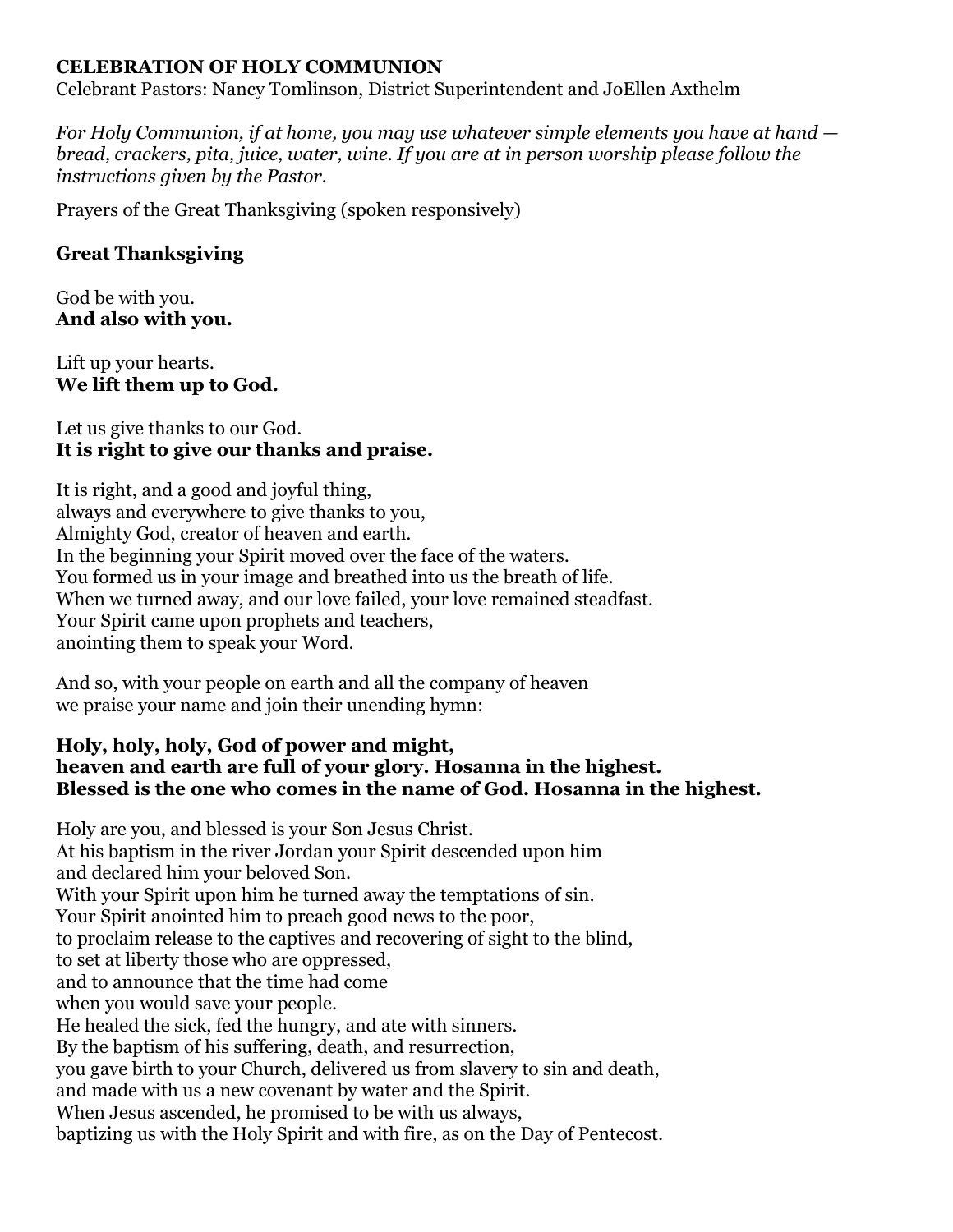### **CELEBRATION OF HOLY COMMUNION**

Celebrant Pastors: Nancy Tomlinson, District Superintendent and JoEllen Axthelm

*For Holy Communion, if at home, you may use whatever simple elements you have at hand bread, crackers, pita, juice, water, wine. If you are at in person worship please follow the instructions given by the Pastor.* 

Prayers of the Great Thanksgiving (spoken responsively)

### **Great Thanksgiving**

God be with you. **And also with you.**

Lift up your hearts. **We lift them up to God.**

### Let us give thanks to our God. **It is right to give our thanks and praise.**

It is right, and a good and joyful thing, always and everywhere to give thanks to you, Almighty God, creator of heaven and earth. In the beginning your Spirit moved over the face of the waters. You formed us in your image and breathed into us the breath of life. When we turned away, and our love failed, your love remained steadfast. Your Spirit came upon prophets and teachers, anointing them to speak your Word.

And so, with your people on earth and all the company of heaven we praise your name and join their unending hymn:

#### **Holy, holy, holy, God of power and might, heaven and earth are full of your glory. Hosanna in the highest. Blessed is the one who comes in the name of God. Hosanna in the highest.**

Holy are you, and blessed is your Son Jesus Christ. At his baptism in the river Jordan your Spirit descended upon him and declared him your beloved Son. With your Spirit upon him he turned away the temptations of sin. Your Spirit anointed him to preach good news to the poor, to proclaim release to the captives and recovering of sight to the blind, to set at liberty those who are oppressed, and to announce that the time had come when you would save your people. He healed the sick, fed the hungry, and ate with sinners. By the baptism of his suffering, death, and resurrection, you gave birth to your Church, delivered us from slavery to sin and death, and made with us a new covenant by water and the Spirit. When Jesus ascended, he promised to be with us always, baptizing us with the Holy Spirit and with fire, as on the Day of Pentecost.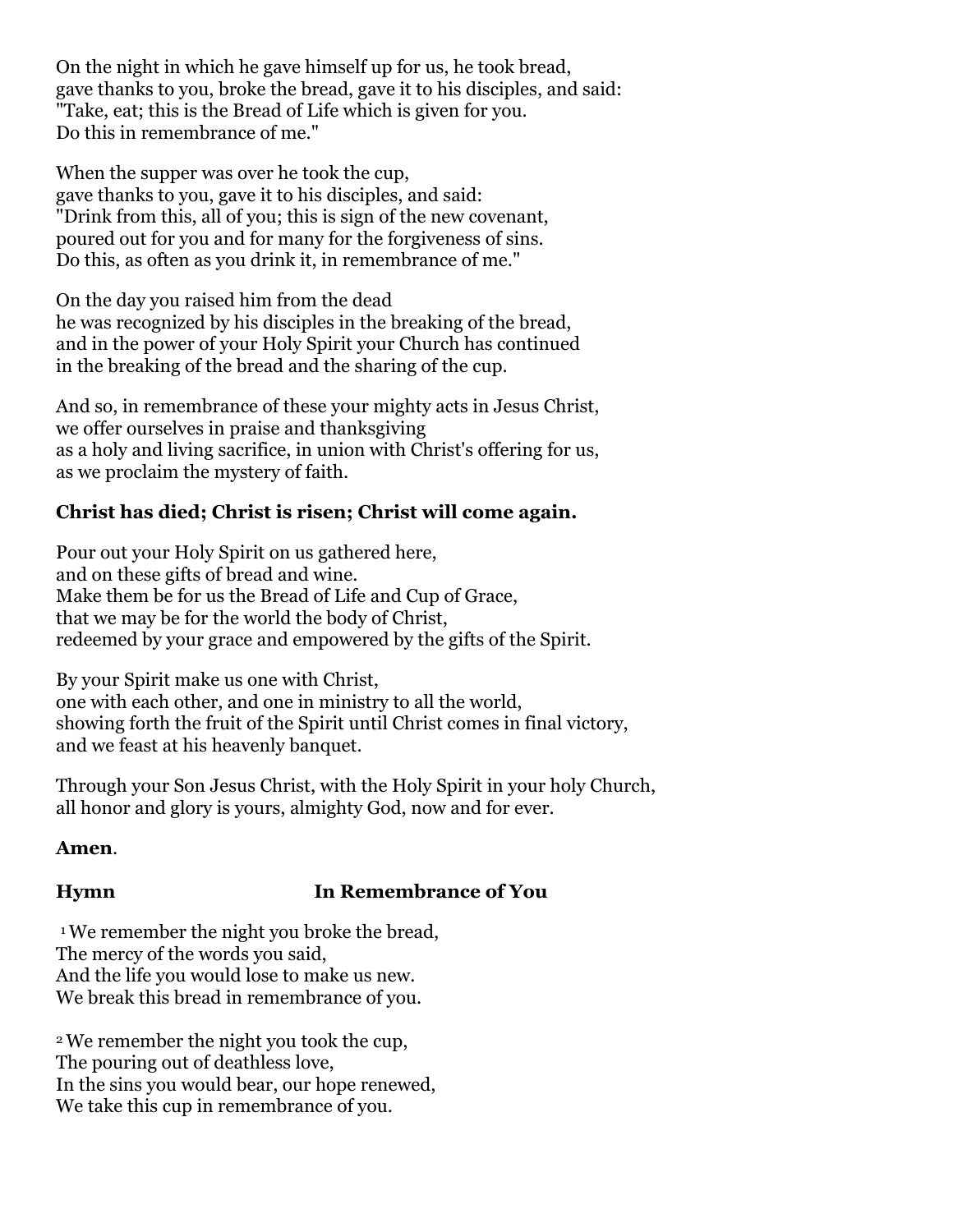On the night in which he gave himself up for us, he took bread, gave thanks to you, broke the bread, gave it to his disciples, and said: "Take, eat; this is the Bread of Life which is given for you. Do this in remembrance of me."

When the supper was over he took the cup, gave thanks to you, gave it to his disciples, and said: "Drink from this, all of you; this is sign of the new covenant, poured out for you and for many for the forgiveness of sins. Do this, as often as you drink it, in remembrance of me."

On the day you raised him from the dead he was recognized by his disciples in the breaking of the bread, and in the power of your Holy Spirit your Church has continued in the breaking of the bread and the sharing of the cup.

And so, in remembrance of these your mighty acts in Jesus Christ, we offer ourselves in praise and thanksgiving as a holy and living sacrifice, in union with Christ's offering for us, as we proclaim the mystery of faith.

# **Christ has died; Christ is risen; Christ will come again.**

Pour out your Holy Spirit on us gathered here, and on these gifts of bread and wine. Make them be for us the Bread of Life and Cup of Grace, that we may be for the world the body of Christ, redeemed by your grace and empowered by the gifts of the Spirit.

By your Spirit make us one with Christ, one with each other, and one in ministry to all the world, showing forth the fruit of the Spirit until Christ comes in final victory, and we feast at his heavenly banquet.

Through your Son Jesus Christ, with the Holy Spirit in your holy Church, all honor and glory is yours, almighty God, now and for ever.

### **Amen**.

# **Hymn In Remembrance of You**

1 We remember the night you broke the bread, The mercy of the words you said, And the life you would lose to make us new. We break this bread in remembrance of you.

2 We remember the night you took the cup, The pouring out of deathless love, In the sins you would bear, our hope renewed, We take this cup in remembrance of you.